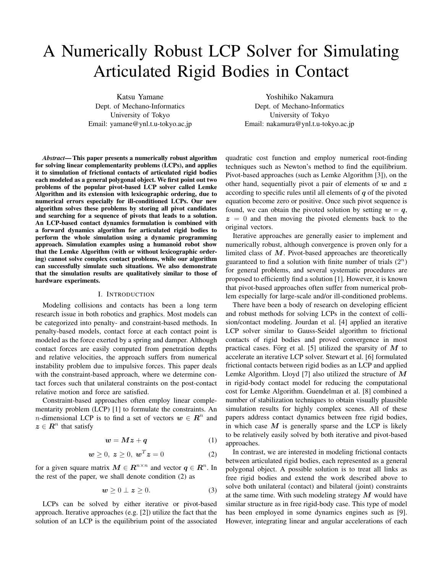# A Numerically Robust LCP Solver for Simulating Articulated Rigid Bodies in Contact

Katsu Yamane Dept. of Mechano-Informatics University of Tokyo Email: yamane@ynl.t.u-tokyo.ac.jp

*Abstract***— This paper presents a numerically robust algorithm for solving linear complementarity problems (LCPs), and applies it to simulation of frictional contacts of articulated rigid bodies each modeled as a general polygonal object. We first point out two problems of the popular pivot-based LCP solver called Lemke Algorithm and its extension with lexicographic ordering, due to numerical errors especially for ill-conditioned LCPs. Our new algorithm solves these problems by storing all pivot candidates and searching for a sequence of pivots that leads to a solution. An LCP-based contact dynamics formulation is combined with a forward dynamics algorithm for articulated rigid bodies to perform the whole simulation using a dynamic programming approach. Simulation examples using a humanoid robot show that the Lemke Algorithm (with or without lexicographic ordering) cannot solve complex contact problems, while our algorithm can successfully simulate such situations. We also demonstrate that the simulation results are qualitatively similar to those of hardware experiments.**

# I. INTRODUCTION

Modeling collisions and contacts has been a long term research issue in both robotics and graphics. Most models can be categorized into penalty- and constraint-based methods. In penalty-based models, contact force at each contact point is modeled as the force exerted by a spring and damper. Although contact forces are easily computed from penetration depths and relative velocities, the approach suffers from numerical instability problem due to impulsive forces. This paper deals with the constraint-based approach, where we determine contact forces such that unilateral constraints on the post-contact relative motion and force are satisfied.

Constraint-based approaches often employ linear complementarity problem (LCP) [1] to formulate the constraints. An *n*-dimensional LCP is to find a set of vectors  $w \in \mathbb{R}^n$  and  $z \in \mathbb{R}^n$  that satisfy

$$
w = Mz + q \tag{1}
$$

$$
w \ge 0, \ z \ge 0, \ w^T z = 0 \tag{2}
$$

for a given square matrix  $M \in \mathbb{R}^{n \times n}$  and vector  $q \in \mathbb{R}^n$ . In the rest of the paper, we shall denote condition (2) as

$$
w \ge 0 \perp z \ge 0. \tag{3}
$$

LCPs can be solved by either iterative or pivot-based approach. Iterative approaches (e.g. [2]) utilize the fact that the solution of an LCP is the equilibrium point of the associated

Yoshihiko Nakamura Dept. of Mechano-Informatics University of Tokyo Email: nakamura@ynl.t.u-tokyo.ac.jp

quadratic cost function and employ numerical root-finding techniques such as Newton's method to find the equilibrium. Pivot-based approaches (such as Lemke Algorithm [3]), on the other hand, sequentially pivot a pair of elements of *w* and *z* according to specific rules until all elements of *q* of the pivoted equation become zero or positive. Once such pivot sequence is found, we can obtain the pivoted solution by setting  $w = q$ ,  $z = 0$  and then moving the pivoted elements back to the original vectors.

Iterative approaches are generally easier to implement and numerically robust, although convergence is proven only for a limited class of *M*. Pivot-based approaches are theoretically guaranteed to find a solution with finite number of trials  $(2^n)$ for general problems, and several systematic procedures are proposed to efficiently find a solution [1]. However, it is known that pivot-based approaches often suffer from numerical problem especially for large-scale and/or ill-conditioned problems.

There have been a body of research on developing efficient and robust methods for solving LCPs in the context of collision/contact modeling. Jourdan et al. [4] applied an iterative LCP solver similar to Gauss-Seidel algorithm to frictional contacts of rigid bodies and proved convergence in most practical cases. Förg et al. [5] utilized the sparsity of  $M$  to accelerate an iterative LCP solver. Stewart et al. [6] formulated frictional contacts between rigid bodies as an LCP and applied Lemke Algorithm. Lloyd [7] also utilized the structure of *M* in rigid-body contact model for reducing the computational cost for Lemke Algorithm. Guendelman et al. [8] combined a number of stabilization techniques to obtain visually plausible simulation results for highly complex scenes. All of these papers address contact dynamics between free rigid bodies, in which case  $M$  is generally sparse and the LCP is likely to be relatively easily solved by both iterative and pivot-based approaches.

In contrast, we are interested in modeling frictional contacts between articulated rigid bodies, each represented as a general polygonal object. A possible solution is to treat all links as free rigid bodies and extend the work described above to solve both unilateral (contact) and bilateral (joint) constraints at the same time. With such modeling strategy *M* would have similar structure as in free rigid-body case. This type of model has been employed in some dynamics engines such as [9]. However, integrating linear and angular accelerations of each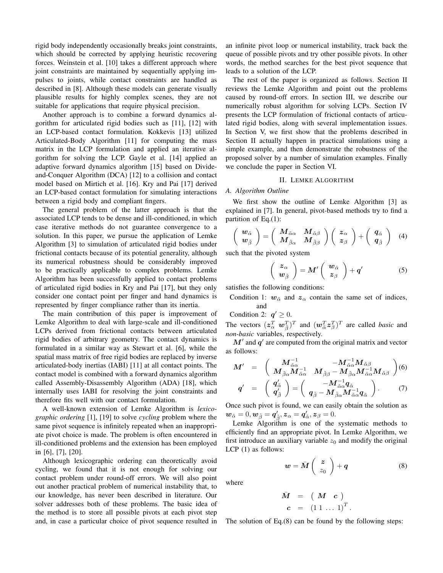rigid body independently occasionally breaks joint constraints, which should be corrected by applying heuristic recovering forces. Weinstein et al. [10] takes a different approach where joint constraints are maintained by sequentially applying impulses to joints, while contact constraints are handled as described in [8]. Although these models can generate visually plausible results for highly complex scenes, they are not suitable for applications that require physical precision.

Another approach is to combine a forward dynamics algorithm for articulated rigid bodies such as [11], [12] with an LCP-based contact formulation. Kokkevis [13] utilized Articulated-Body Algorithm [11] for computing the mass matrix in the LCP formulation and applied an iterative algorithm for solving the LCP. Gayle et al. [14] applied an adaptive forward dynamics algorithm [15] based on Divideand-Conquer Algorithm (DCA) [12] to a collision and contact model based on Mirtich et al. [16]. Kry and Pai [17] derived an LCP-based contact formulation for simulating interactions between a rigid body and compliant fingers.

The general problem of the latter approach is that the associated LCP tends to be dense and ill-conditioned, in which case iterative methods do not guarantee convergence to a solution. In this paper, we pursue the application of Lemke Algorithm [3] to simulation of articulated rigid bodies under frictional contacts because of its potential generality, although its numerical robustness should be considerably improved to be practically applicable to complex problems. Lemke Algorithm has been successfully applied to contact problems of articulated rigid bodies in Kry and Pai [17], but they only consider one contact point per finger and hand dynamics is represented by finger compliance rather than its inertia.

The main contribution of this paper is improvement of Lemke Algorithm to deal with large-scale and ill-conditioned LCPs derived from frictional contacts between articulated rigid bodies of arbitrary geometry. The contact dynamics is formulated in a similar way as Stewart et al. [6], while the spatial mass matrix of free rigid bodies are replaced by inverse articulated-body inertias (IABI) [11] at all contact points. The contact model is combined with a forward dynamics algorithm called Assembly-Disassembly Algorithm (ADA) [18], which internally uses IABI for resolving the joint constraints and therefore fits well with our contact formulation.

A well-known extension of Lemke Algorithm is *lexicographic ordering* [1], [19] to solve *cycling* problem where the same pivot sequence is infinitely repeated when an inappropriate pivot choice is made. The problem is often encountered in ill-conditioned problems and the extension has been employed in [6], [7], [20].

Although lexicographic ordering can theoretically avoid cycling, we found that it is not enough for solving our contact problem under round-off errors. We will also point out another practical problem of numerical instability that, to our knowledge, has never been described in literature. Our solver addresses both of these problems. The basic idea of the method is to store all possible pivots at each pivot step and, in case a particular choice of pivot sequence resulted in an infinite pivot loop or numerical instability, track back the queue of possible pivots and try other possible pivots. In other words, the method searches for the best pivot sequence that leads to a solution of the LCP.

The rest of the paper is organized as follows. Section II reviews the Lemke Algorithm and point out the problems caused by round-off errors. In section III, we describe our numerically robust algorithm for solving LCPs. Section IV presents the LCP formulation of frictional contacts of articulated rigid bodies, along with several implementation issues. In Section V, we first show that the problems described in Section II actually happen in practical simulations using a simple example, and then demonstrate the robustness of the proposed solver by a number of simulation examples. Finally we conclude the paper in Section VI.

# II. LEMKE ALGORITHM

# *A. Algorithm Outline*

We first show the outline of Lemke Algorithm [3] as explained in [7]. In general, pivot-based methods try to find a partition of Eq.(1):

$$
\left(\begin{array}{c}\boldsymbol{w}_{\tilde{\alpha}}\\ \boldsymbol{w}_{\tilde{\beta}}\end{array}\right)=\left(\begin{array}{cc}\boldsymbol{M}_{\tilde{\alpha}\alpha} & \boldsymbol{M}_{\tilde{\alpha}\beta}\\ \boldsymbol{M}_{\tilde{\beta}\alpha} & \boldsymbol{M}_{\tilde{\beta}\beta}\end{array}\right)\left(\begin{array}{c}\boldsymbol{z}_{\alpha}\\ \boldsymbol{z}_{\beta}\end{array}\right)+\left(\begin{array}{c}\boldsymbol{q}_{\tilde{\alpha}}\\ \boldsymbol{q}_{\tilde{\beta}}\end{array}\right)\quad(4)
$$

such that the pivoted system

$$
\left(\begin{array}{c} z_{\alpha} \\ w_{\tilde{\beta}} \end{array}\right) = M' \left(\begin{array}{c} w_{\tilde{\alpha}} \\ z_{\beta} \end{array}\right) + q' \tag{5}
$$

satisfies the following conditions:

Condition 1:  $w_{\tilde{\alpha}}$  and  $z_{\alpha}$  contain the same set of indices, and

Condition 2:  $q' \ge 0$ .

The vectors  $(z_\alpha^T \, \boldsymbol{w}_\beta^T)^T$  and  $(\boldsymbol{w}_\alpha^T \boldsymbol{z}_\beta^T)^T$  are called *basic* and non-basic veribble, respectively. *non-basic* variables, respectively.

 $M'$  and  $q'$  are computed from the original matrix and vector as follows:

$$
M' = \begin{pmatrix} M_{\tilde{\alpha}\alpha}^{-1} & -M_{\tilde{\alpha}\alpha}^{-1} M_{\tilde{\alpha}\beta} \\ M_{\tilde{\beta}\alpha} M_{\tilde{\alpha}\alpha}^{-1} & M_{\tilde{\beta}\beta} - M_{\tilde{\beta}\alpha} M_{\tilde{\alpha}\alpha}^{-1} M_{\tilde{\alpha}\beta} \end{pmatrix} (6)
$$
  

$$
q' = \begin{pmatrix} q'_{\alpha} \\ q'_{\tilde{\beta}} \end{pmatrix} = \begin{pmatrix} -M_{\tilde{\alpha}\alpha}^{-1} q_{\tilde{\alpha}} \\ q_{\tilde{\beta}} - M_{\tilde{\beta}\alpha} M_{\tilde{\alpha}\alpha}^{-1} q_{\tilde{\alpha}} \end{pmatrix}.
$$
 (7)

Once such pivot is found, we can easily obtain the solution as  $\mathbf{w}_{\tilde{\alpha}} = 0, \mathbf{w}_{\tilde{\beta}} = \mathbf{q}'_{\tilde{\beta}}, \mathbf{z}_{\alpha} = \mathbf{q}'_{\tilde{\alpha}}, \mathbf{z}_{\beta} = 0.$ <br>
Lemba Algorithm is one of the

Lemke Algorithm is one of the systematic methods to efficiently find an appropriate pivot. In Lemke Algorithm, we first introduce an auxiliary variable  $z_0$  and modify the original LCP (1) as follows:

$$
w = \bar{M} \begin{pmatrix} z \\ z_0 \end{pmatrix} + q \tag{8}
$$

where

$$
\overline{\mathbf{M}} = (\mathbf{M} \ \mathbf{c})
$$

$$
\mathbf{c} = (1 \ 1 \ \dots \ 1)^T.
$$

The solution of Eq.(8) can be found by the following steps: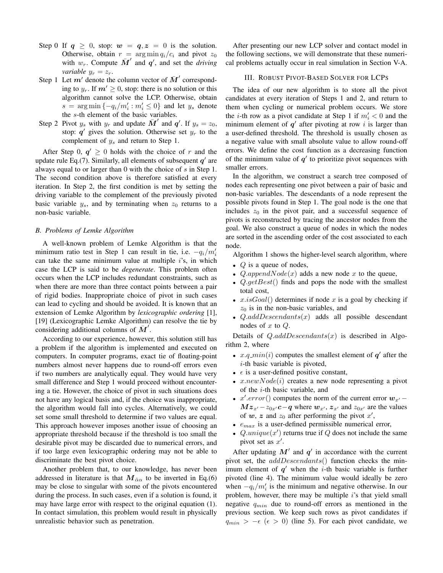- Step 0 If  $q \ge 0$ , stop:  $w = q, z = 0$  is the solution. Otherwise, obtain  $r = \arg \min q_i/c_i$  and pivot  $z_0$ with  $w_r$ . Compute  $\overline{M}'$  and  $q'$ , and set the *driving variable*  $y_r = z_r$ .
- Step 1 Let  $m'$  denote the column vector of  $\overline{M}'$  corresponding to  $y_r$ . If  $m' \geq 0$ , stop: there is no solution or this<br>algorithm cannot solve the LCP. Otherwise, obtain algorithm cannot solve the LCP. Otherwise, obtain  $s = \arg \min \{-q_i/m'_i : m'_i \le 0\}$  and let  $y_s$  denote<br>the s-th element of the basic variables the s-th element of the basic variables.
- Step 2 Pivot  $y_s$  with  $y_r$  and update  $\overline{M}'$  and  $\overline{q}'$ . If  $y_s = z_0$ ,<br>stop:  $\overline{q}'$  gives the solution. Otherwise set  $y_r$  to the stop:  $q'$  gives the solution. Otherwise set  $y_r$  to the complement of  $y_s$  and return to Step 1.

After Step 0,  $q' \ge 0$  holds with the choice of r and the date rule Eq. (7). Similarly, all elements of subsequent  $q'$  are update rule Eq.(7). Similarly, all elements of subsequent  $q'$  are always equal to or larger than 0 with the choice of s in Step 1. The second condition above is therefore satisfied at every iteration. In Step 2, the first condition is met by setting the driving variable to the complement of the previously pivoted basic variable  $y_s$ , and by terminating when  $z_0$  returns to a non-basic variable.

# *B. Problems of Lemke Algorithm*

A well-known problem of Lemke Algorithm is that the minimum ratio test in Step 1 can result in tie, i.e.  $-q_i/m'_i$ can take the same minimum value at multiple  $i$ 's, in which case the LCP is said to be *degenerate*. This problem often occurs when the LCP includes redundant constraints, such as when there are more than three contact points between a pair of rigid bodies. Inappropriate choice of pivot in such cases can lead to cycling and should be avoided. It is known that an extension of Lemke Algorithm by *lexicographic ordering* [1], [19] (Lexicographic Lemke Algorithm) can resolve the tie by considering additional columns of  $\overline{M}'$ .

According to our experience, however, this solution still has a problem if the algorithm is implemented and executed on computers. In computer programs, exact tie of floating-point numbers almost never happens due to round-off errors even if two numbers are analytically equal. They would have very small difference and Step 1 would proceed without encountering a tie. However, the choice of pivot in such situations does not have any logical basis and, if the choice was inappropriate, the algorithm would fall into cycles. Alternatively, we could set some small threshold to determine if two values are equal. This approach however imposes another issue of choosing an appropriate threshold because if the threshold is too small the desirable pivot may be discarded due to numerical errors, and if too large even lexicographic ordering may not be able to discriminate the best pivot choice.

Another problem that, to our knowledge, has never been addressed in literature is that  $M_{\alpha\alpha}$  to be inverted in Eq.(6) may be close to singular with some of the pivots encountered during the process. In such cases, even if a solution is found, it may have large error with respect to the original equation (1). In contact simulation, this problem would result in physically unrealistic behavior such as penetration.

After presenting our new LCP solver and contact model in the following sections, we will demonstrate that these numerical problems actually occur in real simulation in Section V-A.

## III. ROBUST PIVOT-BASED SOLVER FOR LCPS

The idea of our new algorithm is to store all the pivot candidates at every iteration of Steps 1 and 2, and return to them when cycling or numerical problem occurs. We store the *i*-th row as a pivot candidate at Step 1 if  $m'_i < 0$  and the minimum element of  $a'$  after pivoting at row *i* is larger than minimum element of  $q'$  after pivoting at row i is larger than a user-defined threshold. The threshold is usually chosen as a negative value with small absolute value to allow round-off errors. We define the cost function as a decreasing function of the minimum value of  $q'$  to prioritize pivot sequences with smaller errors.

In the algorithm, we construct a search tree composed of nodes each representing one pivot between a pair of basic and non-basic variables. The descendants of a node represent the possible pivots found in Step 1. The goal node is the one that includes  $z_0$  in the pivot pair, and a successful sequence of pivots is reconstructed by tracing the ancestor nodes from the goal. We also construct a queue of nodes in which the nodes are sorted in the ascending order of the cost associated to each node.

Algorithm 1 shows the higher-level search algorithm, where

- $Q$  is a queue of nodes,
- Q.append $Node(x)$  adds a new node x to the queue,
- $Q.getBest()$  finds and pops the node with the smallest total cost,
- $x.isGoal()$  determines if node x is a goal by checking if  $z_0$  is in the non-basic variables, and
- $Q.addDescendants(x)$  adds all possible descendant nodes of  $x$  to  $Q$ .

Details of  $Q.addDescendants(x)$  is described in Algorithm 2, where

- $x.q.min(i)$  computes the smallest element of  $q'$  after the  $i$ -th basic variable is pivoted,
- $\epsilon$  is a user-defined positive constant,
- $x.newNode(i)$  creates a new node representing a pivot of the  $i$ -th basic variable, and
- $x'.error()$  computes the norm of the current error  $w_{x'} Mz$ ,  $z \sim C G$  where  $w_{x'} z \sim 3$  and  $z \sim C$  are the values  $Mz_{x'} - z_{0x'}c - q$  where  $w_{x'}$ ,  $z_{x'}$  and  $z_{0x'}$  are the values of  $w$ ,  $z$  and  $z_0$  after performing the pivot  $x'$ ,
- $e_{max}$  is a user-defined permissible numerical error,
- $Q.\nunique(x')$  returns true if  $Q$  does not include the same<br>nivot set as  $x'$ pivot set as  $x'$ .

After updating  $M'$  and  $q'$  in accordance with the current pivot set, the addDescendants() function checks the minimum element of  $q'$  when the *i*-th basic variable is further pivoted (line 4). The minimum value would ideally be zero when  $-q_i/m'_i$  is the minimum and negative otherwise. In our problem, however, there may be multiple  $i$ 's that yield small negative  $q_{min}$  due to round-off errors as mentioned in the previous section. We keep such rows as pivot candidates if  $q_{min} > -\epsilon$  ( $\epsilon > 0$ ) (line 5). For each pivot candidate, we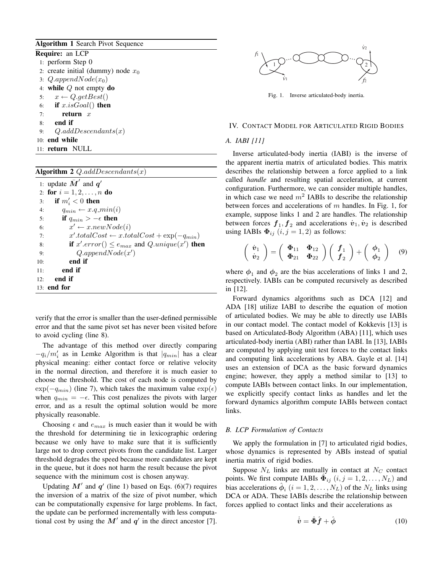# **Algorithm 1** Search Pivot Sequence

**Require:** an LCP 1: perform Step 0 2: create initial (dummy) node  $x_0$ 3:  $Q.appendNode(x_0)$ 4: **while** Q not empty **do** 5:  $x \leftarrow Q.getBest()$ <br>6: **if** x.isGoal() **then** 6: **if**  $x.isGoal()$  **then**<br>7: **return**  $x$ 7: **return** x 8: **end if** 9:  $Q.addDescendants(x)$ 10: **end while** 11: **return** NULL

# **Algorithm 2**  $Q$ .addDescendants(x)

|     | 1: update $\overline{M}'$ and $q'$                      |
|-----|---------------------------------------------------------|
|     | 2: for $i = 1, 2, , n$ do                               |
| 3:  | if $m'_i < 0$ then                                      |
| 4:  | $q_{min} \leftarrow x.q\_min(i)$                        |
| 5:  | if $q_{min} > -\epsilon$ then                           |
| 6:  | $x' \leftarrow x.newNode(i)$                            |
| 7:  | $x'.totalCost \leftarrow x. totalCost + \exp(-q_{min})$ |
| 8:  | if $x'.error() \le e_{max}$ and $Q.unique(x')$ then     |
| 9:  | Q.appendNode(x')                                        |
| 10: | end if                                                  |
| 11: | end if                                                  |
| 12: | end if                                                  |
|     | $13:$ end for                                           |

verify that the error is smaller than the user-defined permissible error and that the same pivot set has never been visited before to avoid cycling (line 8).

The advantage of this method over directly comparing  $-q_i/m'_i$  as in Lemke Algorithm is that  $|q_{min}|$  has a clear physical meaning: either contact force or relative velocity in the normal direction, and therefore it is much easier to choose the threshold. The cost of each node is computed by  $\exp(-q_{min})$  (line 7), which takes the maximum value  $\exp(\epsilon)$ when  $q_{min} = -\epsilon$ . This cost penalizes the pivots with larger<br>error, and as a result the optimal solution would be more error, and as a result the optimal solution would be more physically reasonable.

Choosing  $\epsilon$  and  $e_{max}$  is much easier than it would be with the threshold for determining tie in lexicographic ordering because we only have to make sure that it is sufficiently large not to drop correct pivots from the candidate list. Larger threshold degrades the speed because more candidates are kept in the queue, but it does not harm the result because the pivot sequence with the minimum cost is chosen anyway.

Updating  $M'$  and  $q'$  (line 1) based on Eqs. (6)(7) requires the inversion of a matrix of the size of pivot number, which can be computationally expensive for large problems. In fact, the update can be performed incrementally with less computational cost by using the  $M'$  and  $q'$  in the direct ancestor [7].



Fig. 1. Inverse articulated-body inertia.

#### IV. CONTACT MODEL FOR ARTICULATED RIGID BODIES

## *A. IABI [11]*

Inverse articulated-body inertia (IABI) is the inverse of the apparent inertia matrix of articulated bodies. This matrix describes the relationship between a force applied to a link called *handle* and resulting spatial acceleration, at current configuration. Furthermore, we can consider multiple handles, in which case we need  $m^2$  IABIs to describe the relationship between forces and accelerations of m handles. In Fig. 1, for example, suppose links 1 and 2 are handles. The relationship between forces  $f_1, f_2$  and accelerations  $\dot{v}_1, \dot{v}_2$  is described using IABIs  $\Phi_{ij}$  (*i*, *j* = 1, 2) as follows:

$$
\begin{pmatrix}\n\dot{\boldsymbol{v}}_1 \\
\dot{\boldsymbol{v}}_2\n\end{pmatrix} = \begin{pmatrix}\n\boldsymbol{\Phi}_{11} & \boldsymbol{\Phi}_{12} \\
\boldsymbol{\Phi}_{21} & \boldsymbol{\Phi}_{22}\n\end{pmatrix} \begin{pmatrix}\n\boldsymbol{f}_1 \\
\boldsymbol{f}_2\n\end{pmatrix} + \begin{pmatrix}\n\boldsymbol{\phi}_1 \\
\boldsymbol{\phi}_2\n\end{pmatrix} \quad (9)
$$

where  $\phi_1$  and  $\phi_2$  are the bias accelerations of links 1 and 2, respectively. IABIs can be computed recursively as described in [12].

Forward dynamics algorithms such as DCA [12] and ADA [18] utilize IABI to describe the equation of motion of articulated bodies. We may be able to directly use IABIs in our contact model. The contact model of Kokkevis [13] is based on Articulated-Body Algorithm (ABA) [11], which uses articulated-body inertia (ABI) rather than IABI. In [13], IABIs are computed by applying unit test forces to the contact links and computing link accelerations by ABA. Gayle et al. [14] uses an extension of DCA as the basic forward dynamics engine; however, they apply a method similar to [13] to compute IABIs between contact links. In our implementation, we explicitly specify contact links as handles and let the forward dynamics algorithm compute IABIs between contact links.

# *B. LCP Formulation of Contacts*

We apply the formulation in [7] to articulated rigid bodies, whose dynamics is represented by ABIs instead of spatial inertia matrix of rigid bodies.

Suppose  $N_L$  links are mutually in contact at  $N_C$  contact points. We first compute IABIs  $\Phi_{ij}$  (i, j = 1, 2, ..., N<sub>L</sub>) and bias accelerations  $\phi_i$  ( $i = 1, 2, \ldots, N_L$ ) of the  $N_L$  links using DCA or ADA. These IABIs describe the relationship between forces applied to contact links and their accelerations as

$$
\hat{\boldsymbol{v}} = \hat{\boldsymbol{\Phi}} \hat{\boldsymbol{f}} + \hat{\boldsymbol{\phi}} \tag{10}
$$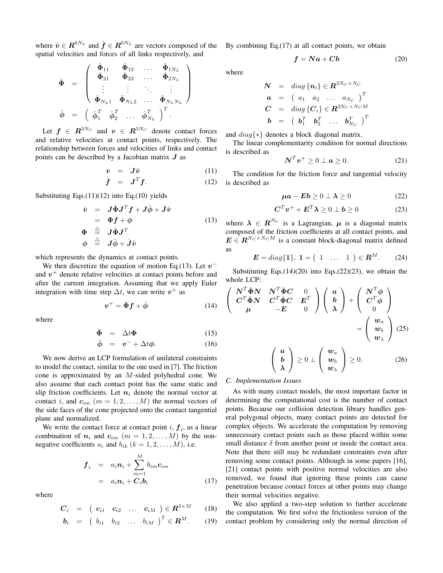where  $\hat{v} \in \mathbb{R}^{6N_L}$  and  $\hat{f} \in \mathbb{R}^{6N_L}$  are vectors composed of the By combining Eq.(17) at all contact points, we obtain spatial velocities and forces of all links respectively, and

$$
\hat{\mathbf{\Phi}} = \left(\begin{array}{cccc} \hat{\Phi}_{11} & \hat{\Phi}_{12} & \dots & \hat{\Phi}_{1N_L} \\ \hat{\Phi}_{21} & \hat{\Phi}_{22} & \dots & \hat{\Phi}_{2N_L} \\ \vdots & \vdots & \ddots & \vdots \\ \hat{\Phi}_{N_L 1} & \hat{\Phi}_{N_L 2} & \dots & \hat{\Phi}_{N_L N_L} \end{array}\right)
$$

$$
\hat{\boldsymbol{\phi}} = \left(\begin{array}{cccc} \hat{\boldsymbol{\phi}}_1^T & \hat{\boldsymbol{\phi}}_2^T & \dots & \hat{\boldsymbol{\phi}}_{N_L}^T \end{array}\right)^T.
$$

Let  $f \in \mathbb{R}^{3N_C}$  and  $v \in \mathbb{R}^{3N_C}$  denote contact forces and relative velocities at contact points, respectively. The relationship between forces and velocities of links and contact points can be described by a Jacobian matrix *J* as

$$
\begin{array}{rcl}\n\boldsymbol{v} & = & \boldsymbol{J}\hat{\boldsymbol{v}}\n\end{array} \tag{11}
$$

$$
\hat{\boldsymbol{f}} = \boldsymbol{J}^T \boldsymbol{f}. \tag{12}
$$

Substituting Eqs.(11)(12) into Eq.(10) yields

$$
\dot{v} = J\hat{\Phi}J^{T}f + J\hat{\phi} + J\hat{v} \n= \Phi f + \phi \qquad (13) \n\Phi \stackrel{\triangle}{=} J\hat{\Phi}J^{T} \n\phi \stackrel{\triangle}{=} J\hat{\phi} + J\hat{v}
$$

which represents the dynamics at contact points.

We then discretize the equation of motion Eq.(13). Let *v*<sup>−</sup> and *v*<sup>+</sup> denote relative velocities at contact points before and after the current integration. Assuming that we apply Euler integration with time step  $\Delta t$ , we can write  $v^+$  as

$$
v^+ = \bar{\Phi}f + \bar{\phi} \tag{14}
$$

where

$$
\bar{\Phi} = \Delta t \Phi \tag{15}
$$

$$
\phi = v^- + \Delta t \phi. \tag{16}
$$

We now derive an LCP formulation of unilateral constraints to model the contact, similar to the one used in [7]. The friction cone is approximated by an  $M$ -sided polyhedral cone. We also assume that each contact point has the same static and slip friction coefficients. Let  $n_i$  denote the normal vector at contact i, and  $c_{im}$  ( $m = 1, 2, ..., M$ ) the normal vectors of the side faces of the cone projected onto the contact tangential plane and normalized.

We write the contact force at contact point i,  $f_i$ , as a linear combination of  $n_i$  and  $c_{im}$  ( $m = 1, 2, ..., M$ ) by the nonnegative coefficients  $a_i$  and  $b_{ik}$   $(k = 1, 2, \dots, M)$ , i.e.

$$
\begin{array}{rcl}\n\mathbf{f}_i & = & a_i \mathbf{n}_i + \sum_{m=1}^M b_{im} \mathbf{c}_{im} \\
& = & a_i \mathbf{n}_i + \mathbf{C}_i \mathbf{b}_i\n\end{array} \tag{17}
$$

where

$$
C_i = \begin{pmatrix} c_{i1} & c_{i2} & \dots & c_{iM} \end{pmatrix} \in \mathbb{R}^{3 \times M} \qquad (18)
$$

$$
\bm{b}_i = (b_{i1} \quad b_{i2} \quad \dots \quad b_{iM})^T \in \mathbb{R}^M. \tag{19}
$$

where

$$
\begin{array}{rcl}\n\mathbf{N} & = & diag\{\mathbf{n}_i\} \in \mathbf{R}^{3N_C \times N_C} \\
\mathbf{a} & = & \left(\begin{array}{ccc} a_1 & a_2 & \dots & a_{N_C} \end{array}\right)^T \\
\mathbf{C} & = & diag\{C_i\} \in \mathbf{R}^{3N_C \times N_C M} \\
\mathbf{b} & = & \left(\begin{array}{ccc} \mathbf{b}_1^T & \mathbf{b}_2^T & \dots & \mathbf{b}_{N_C}^T \end{array}\right)^T\n\end{array}
$$

and diag{∗} denotes a block diagonal matrix.

The linear complementarity condition for normal directions is described as

$$
\boldsymbol{N}^T \boldsymbol{v}^+ \ge 0 \perp \boldsymbol{a} \ge 0. \tag{21}
$$

 $f = Na + Cb$  (20)

The condition for the friction force and tangential velocity is described as

$$
\mu a - Eb \ge 0 \perp \lambda \ge 0 \tag{22}
$$

$$
\boldsymbol{C}^T \boldsymbol{v}^+ + \boldsymbol{E}^T \boldsymbol{\lambda} \ge 0 \perp \boldsymbol{b} \ge 0 \tag{23}
$$

where  $\lambda \in \mathbb{R}^{N_C}$  is a Lagrangian,  $\mu$  is a diagonal matrix composed of the friction coefficients at all contact points, and  $E \in \mathbb{R}^{N_C \times N_C M}$  is a constant block-diagonal matrix defined as

$$
E = diag\{1\}, \ 1 = (1 \ \ldots \ 1) \in \mathbb{R}^M. \tag{24}
$$

Substituting Eqs. $(14)(20)$  into Eqs. $(22)(23)$ , we obtain the whole LCP:

$$
\begin{pmatrix}\nN^T \bar{\Phi} N & N^T \bar{\Phi} C & 0 \\
C^T \bar{\Phi} N & C^T \bar{\Phi} C & E^T \\
\mu & -E & 0\n\end{pmatrix}\n\begin{pmatrix}\na \\
b \\
\lambda\n\end{pmatrix} +\n\begin{pmatrix}\nN^T \phi \\
C^T \phi \\
0\n\end{pmatrix}
$$
\n
$$
= \begin{pmatrix}\nw_a \\
w_b \\
w_\lambda\n\end{pmatrix} (25)
$$

$$
\left(\begin{array}{c}\n\mathbf{b} \\
\lambda\n\end{array}\right) \geq 0 \perp \left(\begin{array}{c}\n\mathbf{w}_b \\
\mathbf{w}_\lambda\n\end{array}\right) \geq 0. \tag{26}
$$

# *C. Implementation Issues*

As with many contact models, the most important factor in determining the computational cost is the number of contact points. Because our collision detection library handles general polygonal objects, many contact points are detected for complex objects. We accelerate the computation by removing unnecessary contact points such as those placed within some small distance  $\delta$  from another point or inside the contact area. Note that there still may be redundant constraints even after removing some contact points. Although in some papers [16], [21] contact points with positive normal velocities are also removed, we found that ignoring these points can cause penetration because contact forces at other points may change their normal velocities negative.

We also applied a two-step solution to further accelerate the computation. We first solve the frictionless version of the contact problem by considering only the normal direction of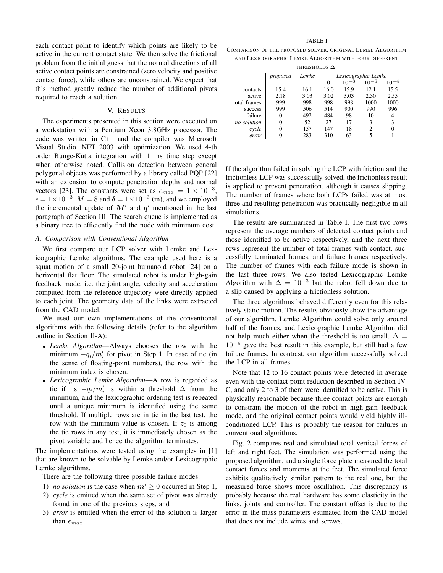each contact point to identify which points are likely to be active in the current contact state. We then solve the frictional problem from the initial guess that the normal directions of all active contact points are constrained (zero velocity and positive contact force), while others are unconstrained. We expect that this method greatly reduce the number of additional pivots required to reach a solution.

## V. RESULTS

The experiments presented in this section were executed on a workstation with a Pentium Xeon 3.8GHz processor. The code was written in C++ and the compiler was Microsoft Visual Studio .NET 2003 with optimization. We used 4-th order Runge-Kutta integration with 1 ms time step except when otherwise noted. Collision detection between general polygonal objects was performed by a library called PQP [22] with an extension to compute penetration depths and normal vectors [23]. The constants were set as  $e_{max} = 1 \times 10^{-3}$ ,  $\epsilon = 1 \times 10^{-3}$ ,  $M = 8$  and  $\delta = 1 \times 10^{-3}$  (m), and we employed<br>the incremental undate of  $M'$  and  $\alpha'$  mentioned in the last the incremental update of  $M'$  and  $q'$  mentioned in the last paragraph of Section III. The search queue is implemented as a binary tree to efficiently find the node with minimum cost.

# *A. Comparison with Conventional Algorithm*

We first compare our LCP solver with Lemke and Lexicographic Lemke algorithms. The example used here is a squat motion of a small 20-joint humanoid robot [24] on a horizontal flat floor. The simulated robot is under high-gain feedback mode, i.e. the joint angle, velocity and acceleration computed from the reference trajectory were directly applied to each joint. The geometry data of the links were extracted from the CAD model.

We used our own implementations of the conventional algorithms with the following details (refer to the algorithm outline in Section II-A):

- *Lemke Algorithm*—Always chooses the row with the minimum  $-q_i/m'_i$  for pivot in Step 1. In case of tie (in the sense of floating-point numbers), the row with the minimum index is chosen.
- *Lexicographic Lemke Algorithm*—A row is regarded as tie if its  $-q_i/m'_i$  is within a threshold  $\Delta$  from the minimum and the lexicographic ordering test is repeated minimum, and the lexicographic ordering test is repeated until a unique minimum is identified using the same threshold. If multiple rows are in tie in the last test, the row with the minimum value is chosen. If  $z_0$  is among the tie rows in any test, it is immediately chosen as the pivot variable and hence the algorithm terminates.

The implementations were tested using the examples in [1] that are known to be solvable by Lemke and/or Lexicographic Lemke algorithms.

There are the following three possible failure modes:

- 1) *no solution* is the case when  $m' \ge 0$  occurred in Step 1,<br>2) *cycle* is emitted when the same set of pivot was already
- 2) *cycle* is emitted when the same set of pivot was already found in one of the previous steps, and
- 3) *error* is emitted when the error of the solution is larger than  $e_{max}$ .

COMPARISON OF THE PROPOSED SOLVER, ORIGINAL LEMKE ALGORITHM AND LEXICOGRAPHIC LEMKE ALGORITHM WITH FOUR DIFFERENT

| THRESHOLDS $\Delta$ . |  |  |  |  |  |  |
|-----------------------|--|--|--|--|--|--|
|                       |  |  |  |  |  |  |

|              | proposed | Lemke | Lexicographic Lemke |           |             |           |
|--------------|----------|-------|---------------------|-----------|-------------|-----------|
|              |          |       | $\Omega$            | $10^{-8}$ | $10^{-6}$   | $10^{-4}$ |
| contacts     | 15.4     | 16.1  | 16.0                | 15.9      | 12.1        | 15.5      |
| active       | 2.18     | 3.03  | 3.02                | 3.03      | 2.30        | 2.55      |
| total frames | 999      | 998   | 998                 | 998       | 1000        | 1000      |
| success      | 999      | 506   | 514                 | 900       | 990         | 996       |
| failure      |          | 492   | 484                 | 98        | 10          |           |
| no solution  | 0        | 52    | 27                  | 17        | $\mathbf 3$ | 3         |
| cycle        | 0        | 157   | 147                 | 18        |             | 0         |
| error        |          | 283   | 310                 | 63        |             |           |

If the algorithm failed in solving the LCP with friction and the frictionless LCP was successfully solved, the frictionless result is applied to prevent penetration, although it causes slipping. The number of frames where both LCPs failed was at most three and resulting penetration was practically negligible in all simulations.

The results are summarized in Table I. The first two rows represent the average numbers of detected contact points and those identified to be active respectively, and the next three rows represent the number of total frames with contact, successfully terminated frames, and failure frames respectively. The number of frames with each failure mode is shown in the last three rows. We also tested Lexicographic Lemke Algorithm with  $\Delta = 10^{-3}$  but the robot fell down due to a slip caused by applying a frictionless solution.

The three algorithms behaved differently even for this relatively static motion. The results obviously show the advantage of our algorithm. Lemke Algorithm could solve only around half of the frames, and Lexicographic Lemke Algorithm did not help much either when the threshold is too small.  $\Delta =$  $10^{-4}$  gave the best result in this example, but still had a few failure frames. In contrast, our algorithm successfully solved the LCP in all frames.

Note that 12 to 16 contact points were detected in average even with the contact point reduction described in Section IV-C, and only 2 to 3 of them were identified to be active. This is physically reasonable because three contact points are enough to constrain the motion of the robot in high-gain feedback mode, and the original contact points would yield highly illconditioned LCP. This is probably the reason for failures in conventional algorithms.

Fig. 2 compares real and simulated total vertical forces of left and right feet. The simulation was performed using the proposed algorithm, and a single force plate measured the total contact forces and moments at the feet. The simulated force exhibits qualitatively similar pattern to the real one, but the measured force shows more oscillation. This discrepancy is probably because the real hardware has some elasticity in the links, joints and controller. The constant offset is due to the error in the mass parameters estimated from the CAD model that does not include wires and screws.

## TABLE I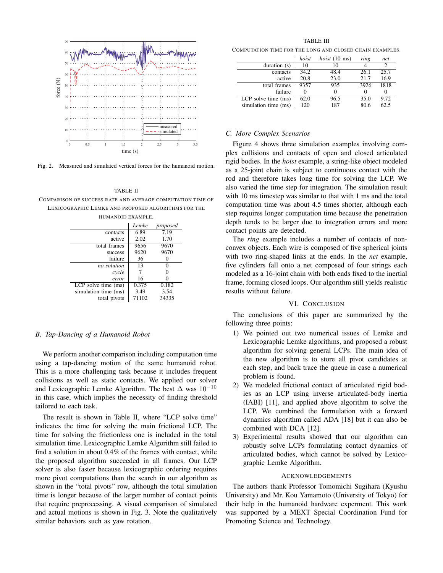

Fig. 2. Measured and simulated vertical forces for the humanoid motion.

## TABLE II

COMPARISON OF SUCCESS RATE AND AVERAGE COMPUTATION TIME OF LEXICOGRAPHIC LEMKE AND PROPOSED ALGORITHMS FOR THE

|                       | Lemke | proposed |  |  |  |
|-----------------------|-------|----------|--|--|--|
| contacts              | 6.89  | 7.19     |  |  |  |
| active                | 2.02  | 1.70     |  |  |  |
| total frames          | 9656  | 9670     |  |  |  |
| success               | 9620  | 9670     |  |  |  |
| failure               | 36    |          |  |  |  |
| no solution           | 13    | 0        |  |  |  |
| cycle                 |       |          |  |  |  |
| error                 | 16    |          |  |  |  |
| LCP solve time $(ms)$ | 0.375 | 0.182    |  |  |  |
| simulation time (ms)  | 3.49  | 3.54     |  |  |  |
| total pivots          | 71102 | 34335    |  |  |  |

HUMANOID EXAMPLE.

## *B. Tap-Dancing of a Humanoid Robot*

We perform another comparison including computation time using a tap-dancing motion of the same humanoid robot. This is a more challenging task because it includes frequent collisions as well as static contacts. We applied our solver and Lexicographic Lemke Algorithm. The best  $\Delta$  was  $10^{-10}$ in this case, which implies the necessity of finding threshold tailored to each task.

The result is shown in Table II, where "LCP solve time" indicates the time for solving the main frictional LCP. The time for solving the frictionless one is included in the total simulation time. Lexicographic Lemke Algorithm still failed to find a solution in about 0.4% of the frames with contact, while the proposed algorithm succeeded in all frames. Our LCP solver is also faster because lexicographic ordering requires more pivot computations than the search in our algorithm as shown in the "total pivots" row, although the total simulation time is longer because of the larger number of contact points that require preprocessing. A visual comparison of simulated and actual motions is shown in Fig. 3. Note the qualitatively similar behaviors such as yaw rotation.

TABLE III COMPUTATION TIME FOR THE LONG AND CLOSED CHAIN EXAMPLES.

|                         | hoist | <i>hoist</i> $(10 \text{ ms})$ | ring | net  |
|-------------------------|-------|--------------------------------|------|------|
| duration (s)            | 10    | 10                             |      | っ    |
| contacts                | 34.2  | 48.4                           | 26.1 | 25.7 |
| active                  | 20.8  | 23.0                           | 21.7 | 16.9 |
| total frames            | 9357  | 935                            | 3926 | 1818 |
| failure                 |       |                                |      |      |
| $LCP$ solve time $(ms)$ | 62.0  | 96.5                           | 35.0 | 9.72 |
| simulation time (ms)    | 120   | 187                            | 80.6 | 62.5 |

## *C. More Complex Scenarios*

Figure 4 shows three simulation examples involving complex collisions and contacts of open and closed articulated rigid bodies. In the *hoist* example, a string-like object modeled as a 25-joint chain is subject to continuous contact with the rod and therefore takes long time for solving the LCP. We also varied the time step for integration. The simulation result with 10 ms timestep was similar to that with 1 ms and the total computation time was about 4.5 times shorter, although each step requires longer computation time because the penetration depth tends to be larger due to integration errors and more contact points are detected.

The *ring* example includes a number of contacts of nonconvex objects. Each wire is composed of five spherical joints with two ring-shaped links at the ends. In the *net* example, five cylinders fall onto a net composed of four strings each modeled as a 16-joint chain with both ends fixed to the inertial frame, forming closed loops. Our algorithm still yields realistic results without failure.

## VI. CONCLUSION

The conclusions of this paper are summarized by the following three points:

- 1) We pointed out two numerical issues of Lemke and Lexicographic Lemke algorithms, and proposed a robust algorithm for solving general LCPs. The main idea of the new algorithm is to store all pivot candidates at each step, and back trace the queue in case a numerical problem is found.
- 2) We modeled frictional contact of articulated rigid bodies as an LCP using inverse articulated-body inertia (IABI) [11], and applied above algorithm to solve the LCP. We combined the formulation with a forward dynamics algorithm called ADA [18] but it can also be combined with DCA [12].
- 3) Experimental results showed that our algorithm can robustly solve LCPs formulating contact dynamics of articulated bodies, which cannot be solved by Lexicographic Lemke Algorithm.

## ACKNOWLEDGEMENTS

The authors thank Professor Tomomichi Sugihara (Kyushu University) and Mr. Kou Yamamoto (University of Tokyo) for their help in the humanoid hardware experment. This work was supported by a MEXT Special Coordination Fund for Promoting Science and Technology.